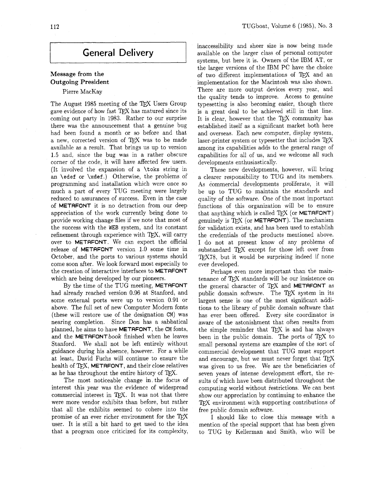# **Message from the Outgoing President**

## Pierre MacKay

The August 1985 meeting of the TEX Users Group gave evidence of how fast TFX has matured since its coming out party in 1983. Rather to our surprise there was the announcement that a genuine bug had been found a month or so before and that a new, corrected version of TFX was to be made available as a result. That brings us up to version 1.5 and, since the bug was in a rather obscure corner of the code, it will have affected few users. (It involved the expansion of a \toks string in an **\edef** or **\xdef.)** Otherwise, the problems of programming and installation which were once so much a part of every TUG meeting were largely reduced to assurances of success. Even in the case of METAFONT it is no detraction from our deep appreciation of the work currently being done to provide working change files if we note that most of the success with the WEB system, and its constant refinement through experience with TFX, will carry over to METAFONT. We can expect the official release of METAFONT version 1.0 some time in October, and the ports to various systems should come soon after. We look forward most especially to the creation of interactive interfaces to METRFONT which are being developed by our pioneers.

By the time of the TUG meeting, METAFONT had already reached version 0.96 at Stanford, and some external ports were up to version 0.91 or above. The full set of new Computer Modern fonts (these will restore use of the designation CM) was nearing completion. Since Don has a sabbatical planned, he aims to have METAFONT, the CM fonts. and the METAFONT book finished when he leaves Stanford. We shall not be left entirely without guidance during his absence, however. For a while at least, David Fuchs will continue to ensure the health of TFX, METAFONT, and their close relatives as he has throughout the entire history of T<sub>F</sub>X.

The most noticeable change in. the focus of interest this year was the evidence of widespread commercial interest in TFX. It was not that there were more vendor exhibits than before, but rather that all the exhibits seemed to cohere into the promise of an ever richer environment for the TFX user. It is still a bit hard to get used to the idea that a program once criticized for its complexity,

inaccessibility and sheer size is now being made available on the larger class of personal computer systems, but here it is. Owners of the IBM AT, or the larger versions of the IBM PC have the choice of two different implementations of TFX and an implementation for the Macintosh was also shown. There are more output devices every year, and the quality tends to improve. Access to genuine typesetting is also becoming easier, though there is a great deal to be achieved still in that line. It is clear, however that the  $T_F X$  community has established itself as a significant market both here and overseas. Each new computer, display system, laser-printer system or typesetter that includes T<sub>E</sub>X among its capabilities adds to the general range of capabilities for all of us, and we welcome all such developments enthusiastically.

These new developments, however, will bring a clearer responsibility to TUG and its members. As commercial developments proliferate, it will be up to TUG to maintain the standards and quality of the software. One of the most important functions of this organization will be to ensure that anything which is called  $T_{F}X$  (or **METAFONT**) genuinely is  $TrX$  (or **METAFONT**). The mechanism for validation exists, and has been used to establish the credentials of the products mentioned above. I do not at present know of any problems of substandard TFX except for those left over from TEX78, but it would be surprising indeed if none ever-developed.

Perhaps even more important than the maintenance of TFX standards will be our insistence on the general character of  $TFX$  and METAFONT as public domain software. The TEX system in its largest sense is one of the most significant additions to the library of public domain software that has ever been offered. Every site coordinator is aware of the astonishment that often results from the simple reminder that TFX is and has always been in the public domain. The ports of  $T_{E}X$  to small personal systems are examples of the sort of commercial development that TUG must support and encourage, but we must never forget that TEX was given to us free. We are the beneficiaries of seven years of intense development effort, the results of which have been distributed throughout the computing world without iestrictions. We can best show our appreciation by continuing to enhance the TFX environment with supporting contributions of free public domain software.

I should like to close this message with a mention of the special support that has been given to TUG by Kellerman and Smith, who will be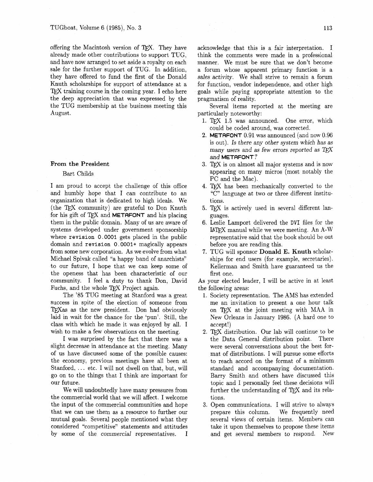offering the Macintosh version of TEX. They have already made other contributions to support TUG, and have now arranged to set aside a royalty on each sale for the further support of TUG. In addition, they have offered to fund the first of the Donald Knuth scholarships for support of attendance at a  $T_{\rm F}X$  training course in the coming year. I echo here the deep appreciation that was expressed by the the TUG membership at the business meeting this August.

### **From the President**

### Bart Childs

I am proud to accept the challenge of this office and humbly hope that I can contribute to an organization that is dedicated to high ideals. We (the TFX community) are grateful to Don Knuth for his gift of T<sub>F</sub>X and **METAFONT** and his placing them in the public domain. Many of us are aware of systems developed under government sponsorship where **revision** 0.0001 gets placed in the public domain and **revision** 0.0001+ magically appears from some new corporation. As we evolve from what Michael Spivak called "a happy band of anarchists" to our future, I hope that we can keep some of the openess that has been characteristic of our community. I feel a duty to thank Don, David Fuchs, and the whole TFX Project again.

The '85 TUG meeting at Stanford was a great success in spite of the election of someone from TEX as as the new president. Don had obviously laid in wait for the chance for the 'pun'. Still, the class with which he made it was enjoyed by all. I wish to make a few observations on the meeting.

I was surprised by the fact that there was a slight decrease in attendance at the meeting. Many of us have discussed some of the possible causes: the economy, previous meetings have all been at Stanford, ... etc. I will not dwell on that, but, will go on to the things that I think are important for our future.

We will undoubtedly have many pressures from the commercial world that we will affect. I welcome the input of the commercial communities and hope that we can use them as a resource to further our mutual goals. Several people mentioned what they considered "competitive" statements and attitudes by some of the commercial representatives. I acknowledge that this is a fair interpretation. I think the comments were made in a professional manner. We must be sure that we don't become a forum whose apparent primary function is a sales activity. We shall strive to remain a forum for function, vendor independence, and other high goals while paying appropriate attention to the pragmatism of reality.

Several items reported at the meeting are particularly noteworthy:

- 1. TFX 1.5 was announced. One error, which could be coded around, was corrected.
- **2. METAFONT** 0.91 was announced (and now 0.96 is out). Is there any other system which has as many users and as few errors reported as  $T_F X$ and **METAFONT?**
- **3.** TEX is on almost all major systems and is now appearing on many micros (most notably the PC and the Mac).
- **4.** has been mechanically converted to the "C" language at two or three different institutions.
- 5. TEX is actively used in several different languages.
- 6. Leslie Lamport delivered the DVI files for the  $\text{MTr}X$  manual while we were meeting. An A-W representative said that the book should be out before you are reading this.
- 7. TUG will sponsor **Donald** E. **Knuth** scholarships for end users (for example, secretaries). Kellerman and Smith have guaranteed us the first one.

As your elected leader, I will be active in at least the following areas:

- 1. Society representation. The AMS has extended me an invitation to present a one hour talk on T<sub>F</sub>X at the joint meeting with MAA in New Orleans in January 1986. (A hard one to accept!)
- 2. TEX distribution. Our lab will continue to be the Data General distribution point. There were several conversations about the best format of distributions. I will pursue some efforts to reach accord on the format of a minimum standard and accompanying documentation. Barry Smith and others have discussed this topic and I personally feel these decisions will further the understanding of T<sub>E</sub>X and its relations.
- **3.** Open communications. I will strive to always prepare this column. We frequently need several views of certain items. Members can take it upon themselves to propose these items and get several members to respond. New